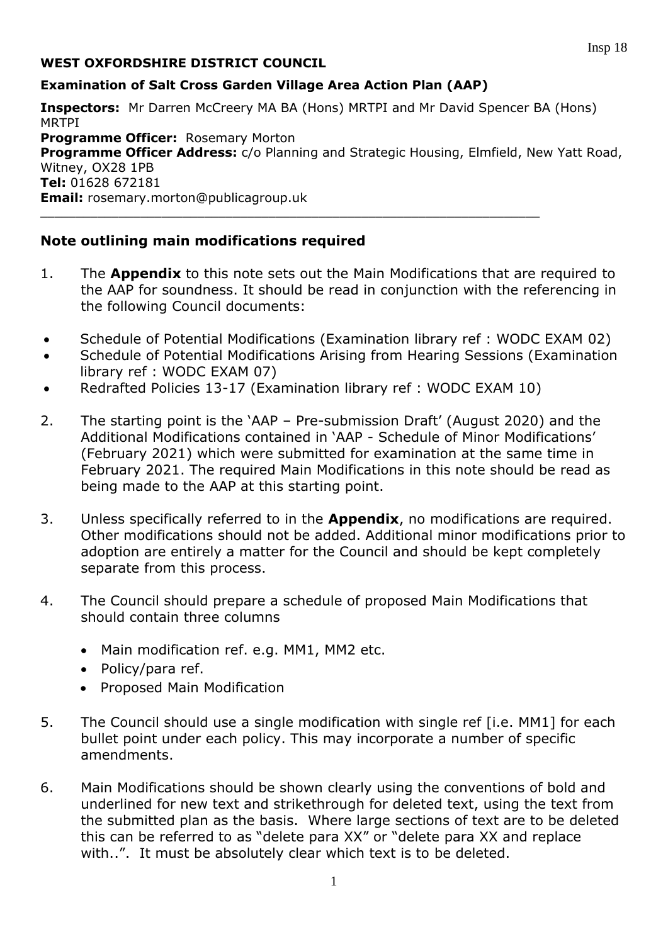## **WEST OXFORDSHIRE DISTRICT COUNCIL**

#### **Examination of Salt Cross Garden Village Area Action Plan (AAP)**

**Inspectors:** Mr Darren McCreery MA BA (Hons) MRTPI and Mr David Spencer BA (Hons) MRTPI **Programme Officer: Rosemary Morton Programme Officer Address:** c/o Planning and Strategic Housing, Elmfield, New Yatt Road, Witney, OX28 1PB **Tel:** 01628 672181 **Email:** rosemary.morton@publicagroup.uk  $\_$  , and the set of the set of the set of the set of the set of the set of the set of the set of the set of the set of the set of the set of the set of the set of the set of the set of the set of the set of the set of th

## **Note outlining main modifications required**

- 1. The **Appendix** to this note sets out the Main Modifications that are required to the AAP for soundness. It should be read in conjunction with the referencing in the following Council documents:
- Schedule of Potential Modifications (Examination library ref : WODC EXAM 02)
- Schedule of Potential Modifications Arising from Hearing Sessions (Examination library ref : WODC EXAM 07)
- Redrafted Policies 13-17 (Examination library ref : WODC EXAM 10)
- 2. The starting point is the 'AAP Pre-submission Draft' (August 2020) and the Additional Modifications contained in 'AAP - Schedule of Minor Modifications' (February 2021) which were submitted for examination at the same time in February 2021. The required Main Modifications in this note should be read as being made to the AAP at this starting point.
- 3. Unless specifically referred to in the **Appendix**, no modifications are required. Other modifications should not be added. Additional minor modifications prior to adoption are entirely a matter for the Council and should be kept completely separate from this process.
- 4. The Council should prepare a schedule of proposed Main Modifications that should contain three columns
	- Main modification ref. e.g. MM1, MM2 etc.
	- Policy/para ref.
	- Proposed Main Modification
- 5. The Council should use a single modification with single ref [i.e. MM1] for each bullet point under each policy. This may incorporate a number of specific amendments.
- 6. Main Modifications should be shown clearly using the conventions of bold and underlined for new text and strikethrough for deleted text, using the text from the submitted plan as the basis. Where large sections of text are to be deleted this can be referred to as "delete para XX" or "delete para XX and replace with..". It must be absolutely clear which text is to be deleted.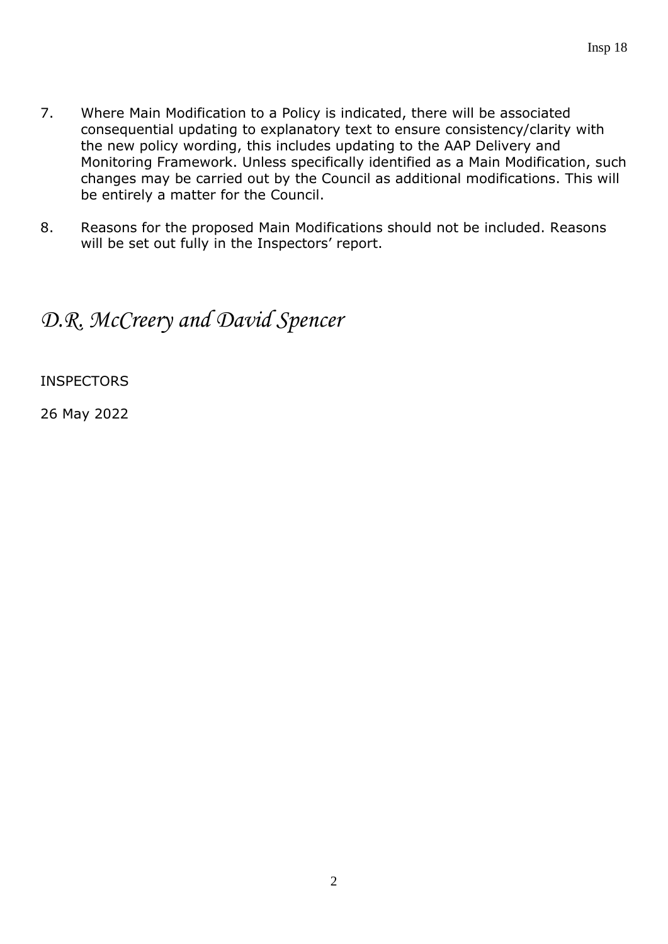- 7. Where Main Modification to a Policy is indicated, there will be associated consequential updating to explanatory text to ensure consistency/clarity with the new policy wording, this includes updating to the AAP Delivery and Monitoring Framework. Unless specifically identified as a Main Modification, such changes may be carried out by the Council as additional modifications. This will be entirely a matter for the Council.
- 8. Reasons for the proposed Main Modifications should not be included. Reasons will be set out fully in the Inspectors' report.

# *D.R. McCreery and David Spencer*

INSPECTORS

26 May 2022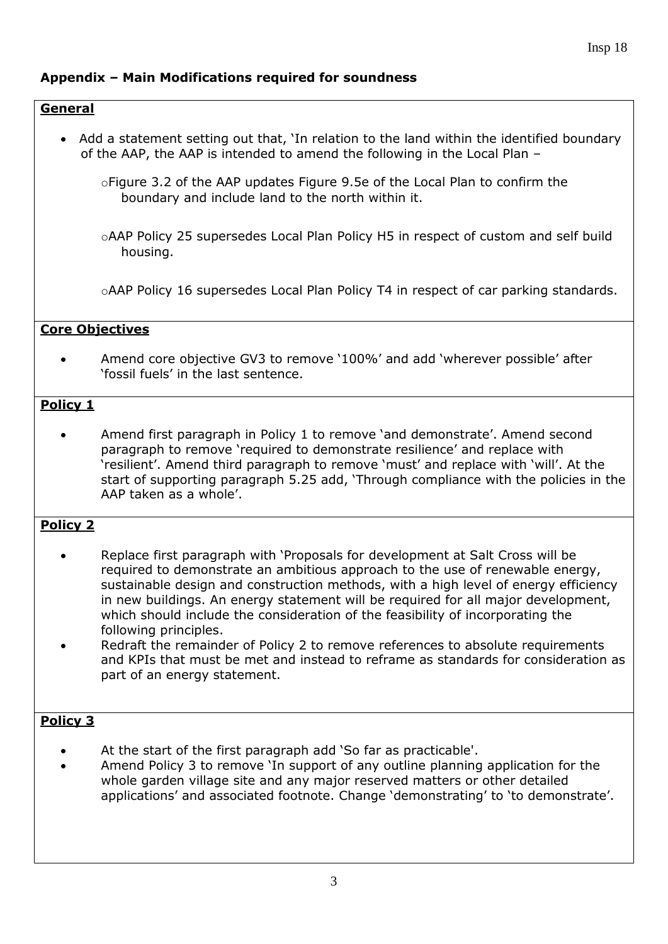## **Appendix – Main Modifications required for soundness**

## **General** Add a statement setting out that, 'In relation to the land within the identified boundary of the AAP, the AAP is intended to amend the following in the Local Plan – oFigure 3.2 of the AAP updates Figure 9.5e of the Local Plan to confirm the boundary and include land to the north within it. oAAP Policy 25 supersedes Local Plan Policy H5 in respect of custom and self build housing. oAAP Policy 16 supersedes Local Plan Policy T4 in respect of car parking standards. **Core Objectives** Amend core objective GV3 to remove '100%' and add 'wherever possible' after 'fossil fuels' in the last sentence. **Policy 1** Amend first paragraph in Policy 1 to remove 'and demonstrate'. Amend second paragraph to remove 'required to demonstrate resilience' and replace with 'resilient'. Amend third paragraph to remove 'must' and replace with 'will'. At the start of supporting paragraph 5.25 add, 'Through compliance with the policies in the AAP taken as a whole'. **Policy 2** • Replace first paragraph with 'Proposals for development at Salt Cross will be required to demonstrate an ambitious approach to the use of renewable energy, sustainable design and construction methods, with a high level of energy efficiency in new buildings. An energy statement will be required for all major development, which should include the consideration of the feasibility of incorporating the following principles. Redraft the remainder of Policy 2 to remove references to absolute requirements and KPIs that must be met and instead to reframe as standards for consideration as part of an energy statement. **Policy 3** At the start of the first paragraph add 'So far as practicable'. Amend Policy 3 to remove 'In support of any outline planning application for the whole garden village site and any major reserved matters or other detailed applications' and associated footnote. Change 'demonstrating' to 'to demonstrate'.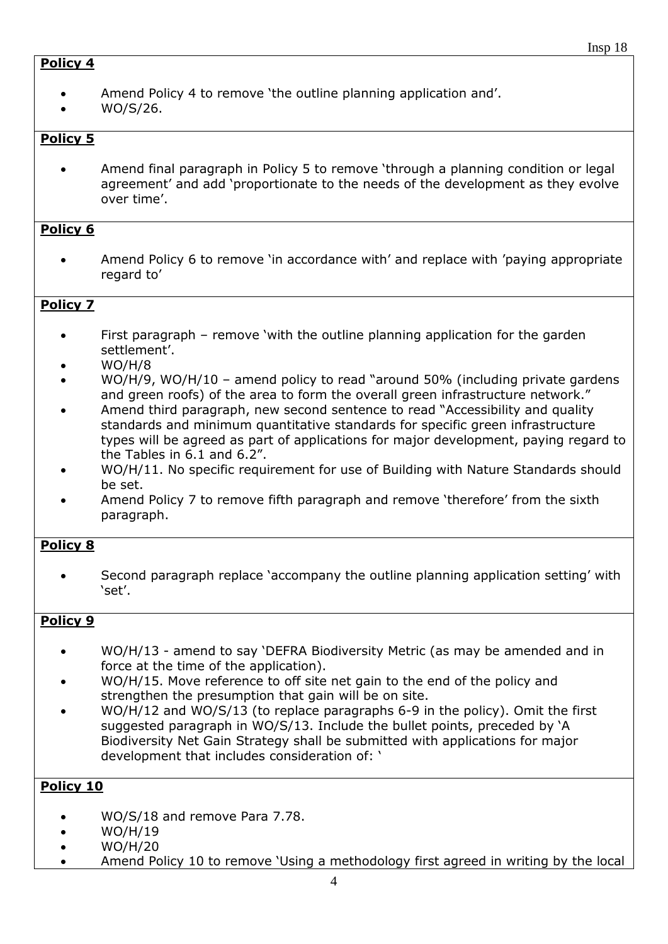## **Policy 4**

- Amend Policy 4 to remove 'the outline planning application and'.
- WO/S/26.

## **Policy 5**

 Amend final paragraph in Policy 5 to remove 'through a planning condition or legal agreement' and add 'proportionate to the needs of the development as they evolve over time'.

#### **Policy 6**

 Amend Policy 6 to remove 'in accordance with' and replace with 'paying appropriate regard to'

## **Policy 7**

- First paragraph remove 'with the outline planning application for the garden settlement'.
- WO/H/8
- WO/H/9, WO/H/10 amend policy to read "around 50% (including private gardens and green roofs) of the area to form the overall green infrastructure network."
- Amend third paragraph, new second sentence to read "Accessibility and quality standards and minimum quantitative standards for specific green infrastructure types will be agreed as part of applications for major development, paying regard to the Tables in 6.1 and 6.2".
- WO/H/11. No specific requirement for use of Building with Nature Standards should be set.
- Amend Policy 7 to remove fifth paragraph and remove 'therefore' from the sixth paragraph.

## **Policy 8**

 Second paragraph replace 'accompany the outline planning application setting' with 'set'.

## **Policy 9**

- WO/H/13 amend to say 'DEFRA Biodiversity Metric (as may be amended and in force at the time of the application).
- WO/H/15. Move reference to off site net gain to the end of the policy and strengthen the presumption that gain will be on site.
- WO/H/12 and WO/S/13 (to replace paragraphs 6-9 in the policy). Omit the first suggested paragraph in WO/S/13. Include the bullet points, preceded by 'A Biodiversity Net Gain Strategy shall be submitted with applications for major development that includes consideration of: '

- WO/S/18 and remove Para 7.78.
- WO/H/19
- $\bullet$  WO/H/20
- Amend Policy 10 to remove 'Using a methodology first agreed in writing by the local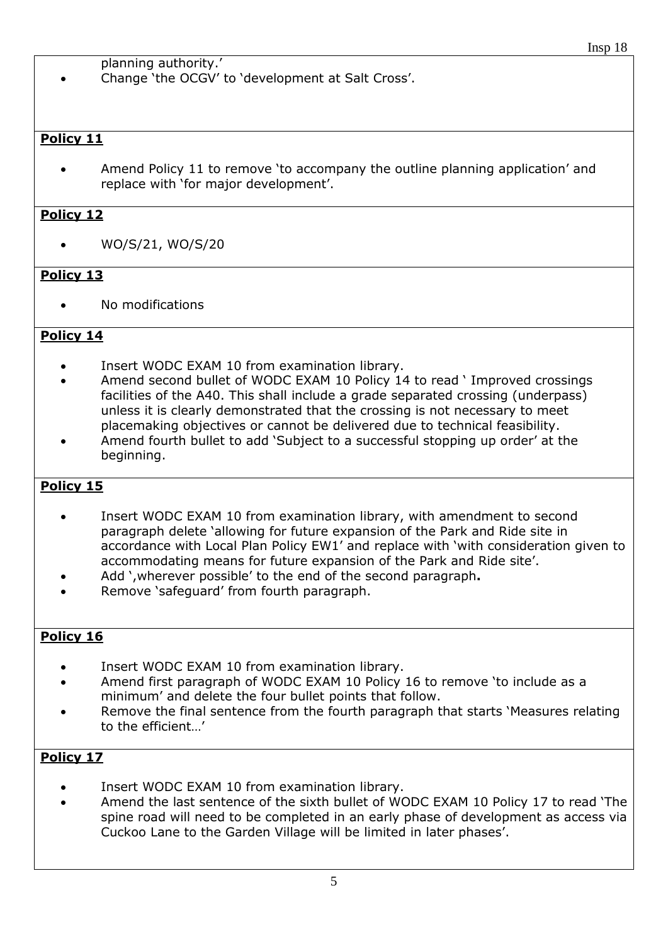planning authority.'

Change 'the OCGV' to 'development at Salt Cross'.

## **Policy 11**

 Amend Policy 11 to remove 'to accompany the outline planning application' and replace with 'for major development'.

## **Policy 12**

WO/S/21, WO/S/20

## **Policy 13**

No modifications

## **Policy 14**

- Insert WODC EXAM 10 from examination library.
- Amend second bullet of WODC EXAM 10 Policy 14 to read ' Improved crossings facilities of the A40. This shall include a grade separated crossing (underpass) unless it is clearly demonstrated that the crossing is not necessary to meet placemaking objectives or cannot be delivered due to technical feasibility.
- Amend fourth bullet to add 'Subject to a successful stopping up order' at the beginning.

## **Policy 15**

- Insert WODC EXAM 10 from examination library, with amendment to second paragraph delete 'allowing for future expansion of the Park and Ride site in accordance with Local Plan Policy EW1' and replace with 'with consideration given to accommodating means for future expansion of the Park and Ride site'.
- Add ',wherever possible' to the end of the second paragraph**.**
- Remove 'safeguard' from fourth paragraph.

## **Policy 16**

- Insert WODC EXAM 10 from examination library.
- Amend first paragraph of WODC EXAM 10 Policy 16 to remove 'to include as a minimum' and delete the four bullet points that follow.
- Remove the final sentence from the fourth paragraph that starts 'Measures relating to the efficient…'

- Insert WODC EXAM 10 from examination library.
- Amend the last sentence of the sixth bullet of WODC EXAM 10 Policy 17 to read 'The spine road will need to be completed in an early phase of development as access via Cuckoo Lane to the Garden Village will be limited in later phases'.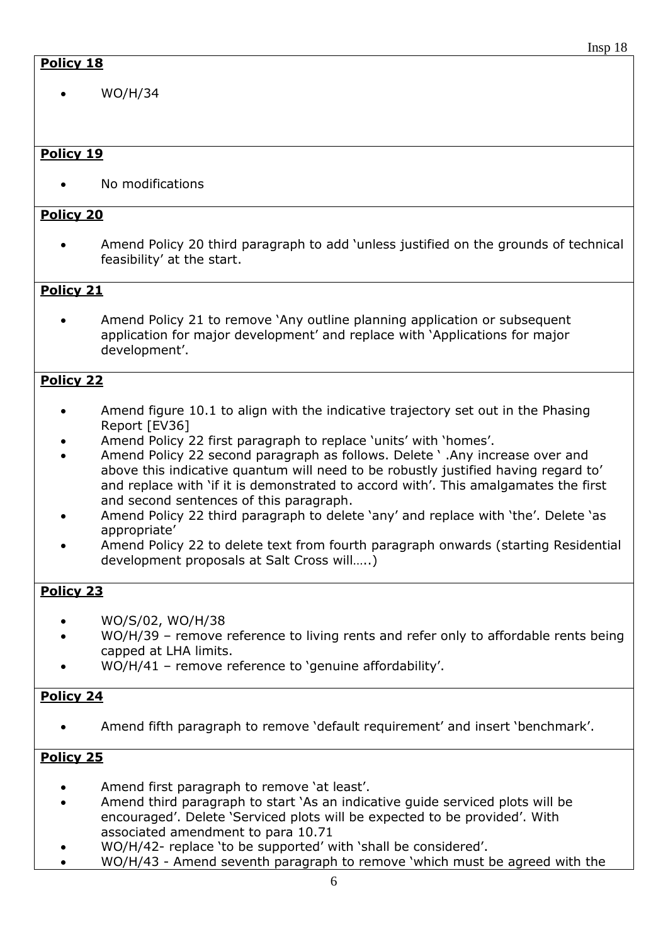## **Policy 18**

WO/H/34

## **Policy 19**

No modifications

## **Policy 20**

 Amend Policy 20 third paragraph to add 'unless justified on the grounds of technical feasibility' at the start.

## **Policy 21**

 Amend Policy 21 to remove 'Any outline planning application or subsequent application for major development' and replace with 'Applications for major development'.

## **Policy 22**

- Amend figure 10.1 to align with the indicative trajectory set out in the Phasing Report [EV36]
- Amend Policy 22 first paragraph to replace 'units' with 'homes'.
- Amend Policy 22 second paragraph as follows. Delete ' .Any increase over and above this indicative quantum will need to be robustly justified having regard to' and replace with 'if it is demonstrated to accord with'. This amalgamates the first and second sentences of this paragraph.
- Amend Policy 22 third paragraph to delete 'any' and replace with 'the'. Delete 'as appropriate'
- Amend Policy 22 to delete text from fourth paragraph onwards (starting Residential development proposals at Salt Cross will…..)

## **Policy 23**

- WO/S/02, WO/H/38
- WO/H/39 remove reference to living rents and refer only to affordable rents being capped at LHA limits.
- WO/H/41 remove reference to 'genuine affordability'.

## **Policy 24**

Amend fifth paragraph to remove 'default requirement' and insert 'benchmark'.

- Amend first paragraph to remove 'at least'.
- Amend third paragraph to start 'As an indicative guide serviced plots will be encouraged'. Delete 'Serviced plots will be expected to be provided'. With associated amendment to para 10.71
- WO/H/42- replace 'to be supported' with 'shall be considered'.
- WO/H/43 Amend seventh paragraph to remove 'which must be agreed with the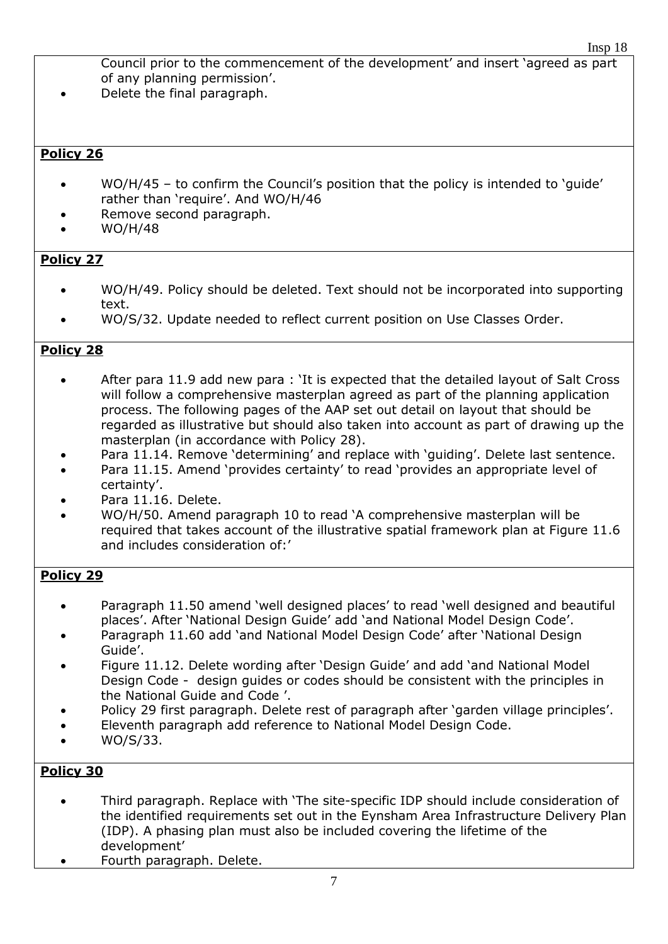Council prior to the commencement of the development' and insert 'agreed as part of any planning permission'.

Delete the final paragraph.

## **Policy 26**

- WO/H/45 to confirm the Council's position that the policy is intended to 'guide' rather than 'require'. And WO/H/46
- Remove second paragraph.
- WO/H/48

## **Policy 27**

- WO/H/49. Policy should be deleted. Text should not be incorporated into supporting text.
- WO/S/32. Update needed to reflect current position on Use Classes Order.

## **Policy 28**

- After para 11.9 add new para : 'It is expected that the detailed layout of Salt Cross will follow a comprehensive masterplan agreed as part of the planning application process. The following pages of the AAP set out detail on layout that should be regarded as illustrative but should also taken into account as part of drawing up the masterplan (in accordance with Policy 28).
- Para 11.14. Remove 'determining' and replace with 'guiding'. Delete last sentence.
- Para 11.15. Amend 'provides certainty' to read 'provides an appropriate level of certainty'.
- Para 11.16. Delete.
- WO/H/50. Amend paragraph 10 to read 'A comprehensive masterplan will be required that takes account of the illustrative spatial framework plan at Figure 11.6 and includes consideration of:'

## **Policy 29**

- Paragraph 11.50 amend 'well designed places' to read 'well designed and beautiful places'. After 'National Design Guide' add 'and National Model Design Code'.
- Paragraph 11.60 add 'and National Model Design Code' after 'National Design Guide'.
- Figure 11.12. Delete wording after 'Design Guide' and add 'and National Model Design Code - design guides or codes should be consistent with the principles in the National Guide and Code '.
- Policy 29 first paragraph. Delete rest of paragraph after 'garden village principles'.
- Eleventh paragraph add reference to National Model Design Code.
- WO/S/33.

- Third paragraph. Replace with 'The site-specific IDP should include consideration of the identified requirements set out in the Eynsham Area Infrastructure Delivery Plan (IDP). A phasing plan must also be included covering the lifetime of the development'
- Fourth paragraph. Delete.